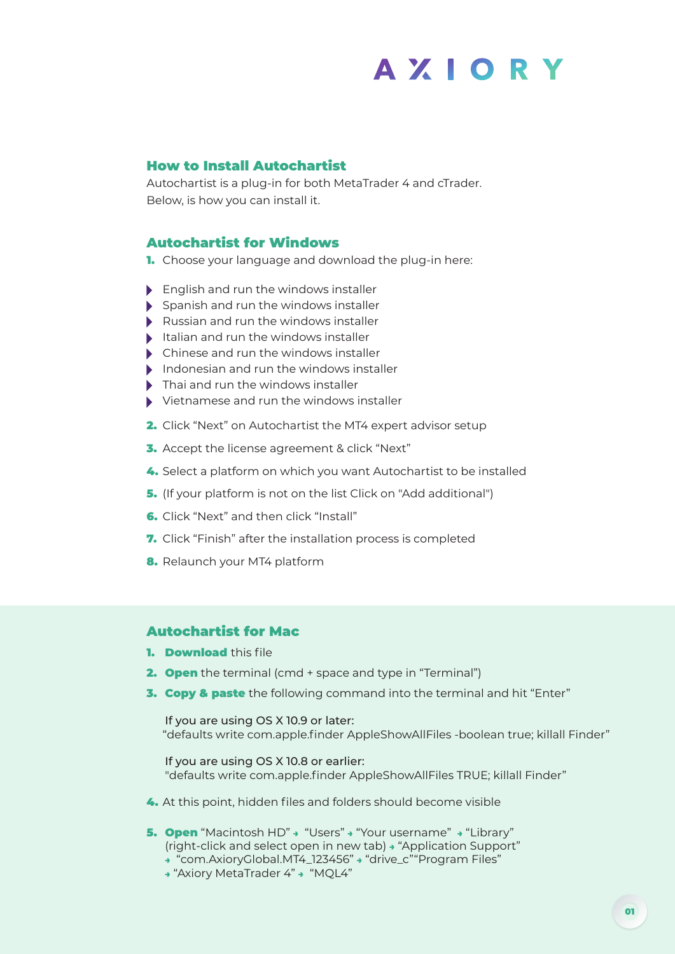# **AXIORY**

### How to Install Autochartist

Autochartist is a plug-in for both MetaTrader 4 and cTrader. Below, is how you can install it.

### Autochartist for Windows

1. Choose your language and download the plug-in here:

- **English and run the windows installer**
- Spanish and run the windows installer
- Russian and run the windows installer
- $\blacktriangleright$  Italian and run the windows installer
- ▶ Chinese and run the windows installer
- Indonesian and run the windows installer
- ▶ Thai and run the windows installer
- Vietnamese and run the windows installer
- 2. Click "Next" on Autochartist the MT4 expert advisor setup
- **3.** Accept the license agreement & click "Next"
- 4. Select a platform on which you want Autochartist to be installed
- 5. (If your platform is not on the list Click on "Add additional")
- 6. Click "Next" and then click "Install"
- 7. Click "Finish" after the installation process is completed
- 8. Relaunch your MT4 platform

## Autochartist for Mac

- 1. **Download** this file
- **2. Open** the terminal (cmd + space and type in "Terminal")
- **3. Copy & paste** the following command into the terminal and hit "Enter"

 If you are using OS X 10.9 or later: "defaults write com.apple.finder AppleShowAllFiles -boolean true; killall Finder"

 If you are using OS X 10.8 or earlier: "defaults write com.apple.finder AppleShowAllFiles TRUE; killall Finder"

- 4. At this point, hidden files and folders should become visible
- 5. Open "Macintosh HD" → "Users" → "Your username" → "Library" (right-click and select open in new tab) → "Application Support"
	- → "com.AxioryGlobal.MT4\_123456" → "drive\_c""Program Files"
	- → "Axiory MetaTrader 4" → "MQL4"